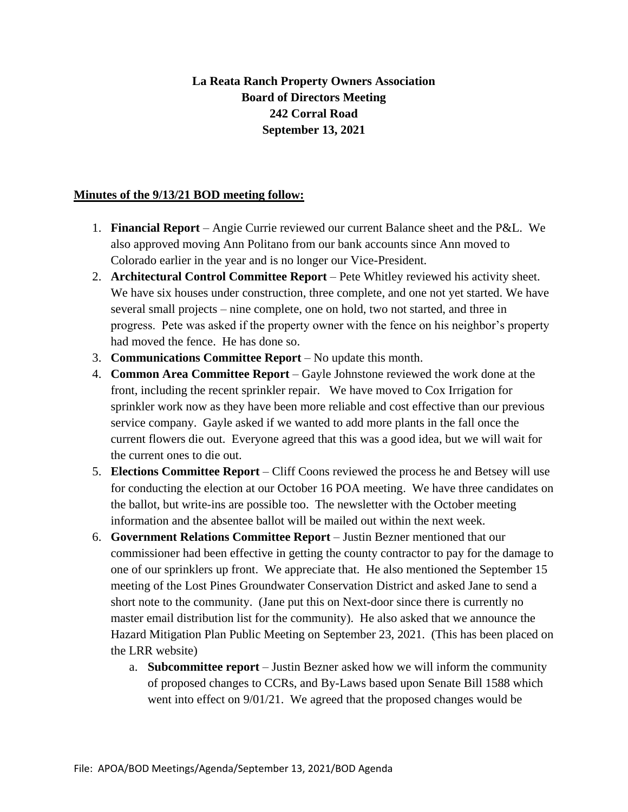## **La Reata Ranch Property Owners Association Board of Directors Meeting 242 Corral Road September 13, 2021**

## **Minutes of the 9/13/21 BOD meeting follow:**

- 1. **Financial Report** Angie Currie reviewed our current Balance sheet and the P&L. We also approved moving Ann Politano from our bank accounts since Ann moved to Colorado earlier in the year and is no longer our Vice-President.
- 2. **Architectural Control Committee Report** Pete Whitley reviewed his activity sheet. We have six houses under construction, three complete, and one not yet started. We have several small projects – nine complete, one on hold, two not started, and three in progress. Pete was asked if the property owner with the fence on his neighbor's property had moved the fence. He has done so.
- 3. **Communications Committee Report** No update this month.
- 4. **Common Area Committee Report** Gayle Johnstone reviewed the work done at the front, including the recent sprinkler repair. We have moved to Cox Irrigation for sprinkler work now as they have been more reliable and cost effective than our previous service company. Gayle asked if we wanted to add more plants in the fall once the current flowers die out. Everyone agreed that this was a good idea, but we will wait for the current ones to die out.
- 5. **Elections Committee Report** Cliff Coons reviewed the process he and Betsey will use for conducting the election at our October 16 POA meeting. We have three candidates on the ballot, but write-ins are possible too. The newsletter with the October meeting information and the absentee ballot will be mailed out within the next week.
- 6. **Government Relations Committee Report** Justin Bezner mentioned that our commissioner had been effective in getting the county contractor to pay for the damage to one of our sprinklers up front. We appreciate that. He also mentioned the September 15 meeting of the Lost Pines Groundwater Conservation District and asked Jane to send a short note to the community. (Jane put this on Next-door since there is currently no master email distribution list for the community). He also asked that we announce the Hazard Mitigation Plan Public Meeting on September 23, 2021. (This has been placed on the LRR website)
	- a. **Subcommittee report** Justin Bezner asked how we will inform the community of proposed changes to CCRs, and By-Laws based upon Senate Bill 1588 which went into effect on 9/01/21. We agreed that the proposed changes would be